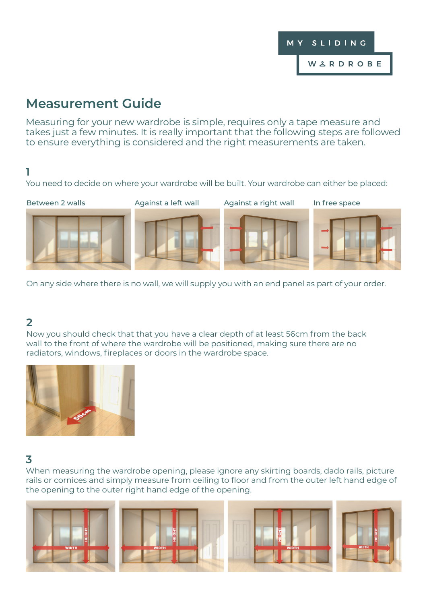

# **Measurement Guide**

Measuring for your new wardrobe is simple, requires only a tape measure and takes just a few minutes. It is really important that the following steps are followed to ensure everything is considered and the right measurements are taken.

#### **1**

You need to decide on where your wardrobe will be built. Your wardrobe can either be placed:

Between 2 walls **Against a left wall** Against a right wall In free space







On any side where there is no wall, we will supply you with an end panel as part of your order.

### **2**

Now you should check that that you have a clear depth of at least 56cm from the back wall to the front of where the wardrobe will be positioned, making sure there are no radiators, windows, fireplaces or doors in the wardrobe space.



#### **3**

When measuring the wardrobe opening, please ignore any skirting boards, dado rails, picture rails or cornices and simply measure from ceiling to floor and from the outer left hand edge of the opening to the outer right hand edge of the opening.